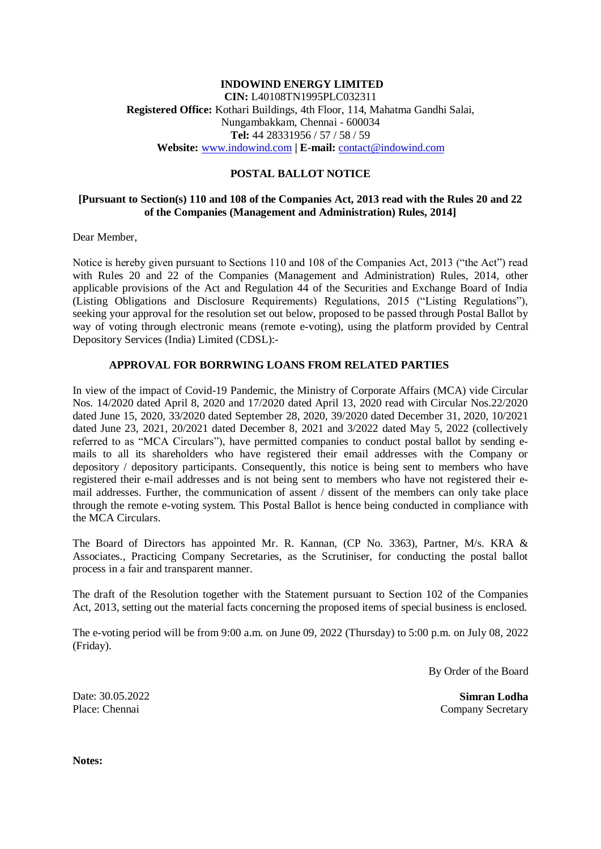### **INDOWIND ENERGY LIMITED CIN:** L40108TN1995PLC032311 **Registered Office:** Kothari Buildings, 4th Floor, 114, Mahatma Gandhi Salai, Nungambakkam, Chennai - 600034 **Tel:** 44 28331956 / 57 / 58 / 59 **Website:** [www.indowind.com](http://www.indowind.com/) **| E-mail:** [contact@indowind.com](https://web.archive.org/web/20161016221716/mailto:contact@indowind.com)

### **POSTAL BALLOT NOTICE**

### **[Pursuant to Section(s) 110 and 108 of the Companies Act, 2013 read with the Rules 20 and 22 of the Companies (Management and Administration) Rules, 2014]**

Dear Member,

Notice is hereby given pursuant to Sections 110 and 108 of the Companies Act, 2013 ("the Act") read with Rules 20 and 22 of the Companies (Management and Administration) Rules, 2014, other applicable provisions of the Act and Regulation 44 of the Securities and Exchange Board of India (Listing Obligations and Disclosure Requirements) Regulations, 2015 ("Listing Regulations"), seeking your approval for the resolution set out below, proposed to be passed through Postal Ballot by way of voting through electronic means (remote e-voting), using the platform provided by [Central](https://www.cdslindia.com/)  [Depository Services \(India\) Limited](https://www.cdslindia.com/) (CDSL):-

### **APPROVAL FOR BORRWING LOANS FROM RELATED PARTIES**

In view of the impact of Covid-19 Pandemic, the Ministry of Corporate Affairs (MCA) vide Circular Nos. 14/2020 dated April 8, 2020 and 17/2020 dated April 13, 2020 read with Circular Nos.22/2020 dated June 15, 2020, 33/2020 dated September 28, 2020, 39/2020 dated December 31, 2020, 10/2021 dated June 23, 2021, 20/2021 dated December 8, 2021 and 3/2022 dated May 5, 2022 (collectively referred to as "MCA Circulars"), have permitted companies to conduct postal ballot by sending emails to all its shareholders who have registered their email addresses with the Company or depository / depository participants. Consequently, this notice is being sent to members who have registered their e-mail addresses and is not being sent to members who have not registered their email addresses. Further, the communication of assent / dissent of the members can only take place through the remote e-voting system. This Postal Ballot is hence being conducted in compliance with the MCA Circulars.

The Board of Directors has appointed Mr. R. Kannan, (CP No. 3363), Partner, M/s. KRA & Associates., Practicing Company Secretaries, as the Scrutiniser, for conducting the postal ballot process in a fair and transparent manner.

The draft of the Resolution together with the Statement pursuant to Section 102 of the Companies Act, 2013, setting out the material facts concerning the proposed items of special business is enclosed.

The e-voting period will be from 9:00 a.m. on June 09, 2022 (Thursday) to 5:00 p.m. on July 08, 2022 (Friday).

By Order of the Board

Date: 30.05.2022 Place: Chennai

**Simran Lodha** Company Secretary

**Notes:**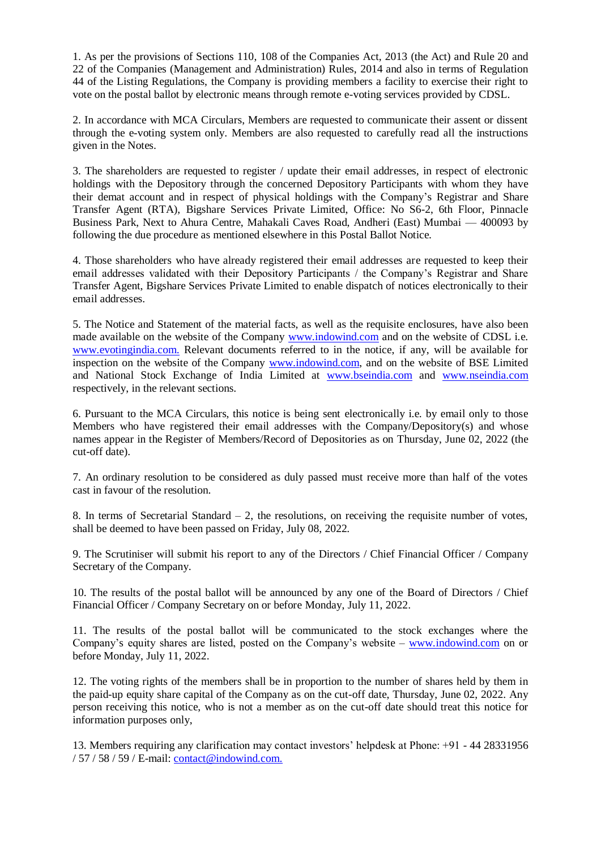1. As per the provisions of Sections 110, 108 of the Companies Act, 2013 (the Act) and Rule 20 and 22 of the Companies (Management and Administration) Rules, 2014 and also in terms of Regulation 44 of the Listing Regulations, the Company is providing members a facility to exercise their right to vote on the postal ballot by electronic means through remote e-voting services provided by CDSL.

2. In accordance with MCA Circulars, Members are requested to communicate their assent or dissent through the e-voting system only. Members are also requested to carefully read all the instructions given in the Notes.

3. The shareholders are requested to register / update their email addresses, in respect of electronic holdings with the Depository through the concerned Depository Participants with whom they have their demat account and in respect of physical holdings with the Company's Registrar and Share Transfer Agent (RTA), Bigshare Services Private Limited, Office: No S6-2, 6th Floor, Pinnacle Business Park, Next to Ahura Centre, Mahakali Caves Road, Andheri (East) Mumbai — 400093 by following the due procedure as mentioned elsewhere in this Postal Ballot Notice.

4. Those shareholders who have already registered their email addresses are requested to keep their email addresses validated with their Depository Participants / the Company's Registrar and Share Transfer Agent, Bigshare Services Private Limited to enable dispatch of notices electronically to their email addresses.

5. The Notice and Statement of the material facts, as well as the requisite enclosures, have also been made available on the website of the Company [www.indowind.com](http://www.indowind.com/) and on the website of CDSL i.e. www.evotingindia.com. Relevant documents referred to in the notice, if any, will be available for inspection on the website of the Company www.indowind.com, and on the website of BSE Limited and National Stock Exchange of India Limited at [www.bseindia.com](http://www.bseindia.coma/) and www.nseindia.com respectively, in the relevant sections.

6. Pursuant to the MCA Circulars, this notice is being sent electronically i.e. by email only to those Members who have registered their email addresses with the Company/Depository(s) and whose names appear in the Register of Members/Record of Depositories as on Thursday, June 02, 2022 (the cut-off date).

7. An ordinary resolution to be considered as duly passed must receive more than half of the votes cast in favour of the resolution.

8. In terms of Secretarial Standard  $-2$ , the resolutions, on receiving the requisite number of votes, shall be deemed to have been passed on Friday, July 08, 2022.

9. The Scrutiniser will submit his report to any of the Directors / Chief Financial Officer / Company Secretary of the Company.

10. The results of the postal ballot will be announced by any one of the Board of Directors / Chief Financial Officer / Company Secretary on or before Monday, July 11, 2022.

11. The results of the postal ballot will be communicated to the stock exchanges where the Company's equity shares are listed, posted on the Company's website – www.indowind.com on or before Monday, July 11, 2022.

12. The voting rights of the members shall be in proportion to the number of shares held by them in the paid-up equity share capital of the Company as on the cut-off date, Thursday, June 02, 2022. Any person receiving this notice, who is not a member as on the cut-off date should treat this notice for information purposes only,

13. Members requiring any clarification may contact investors' helpdesk at Phone: +91 - 44 28331956 / 57 / 58 / 59 / E-mail: [contact@indowind.com.](https://web.archive.org/web/20161016221716/mailto:contact@indowind.com)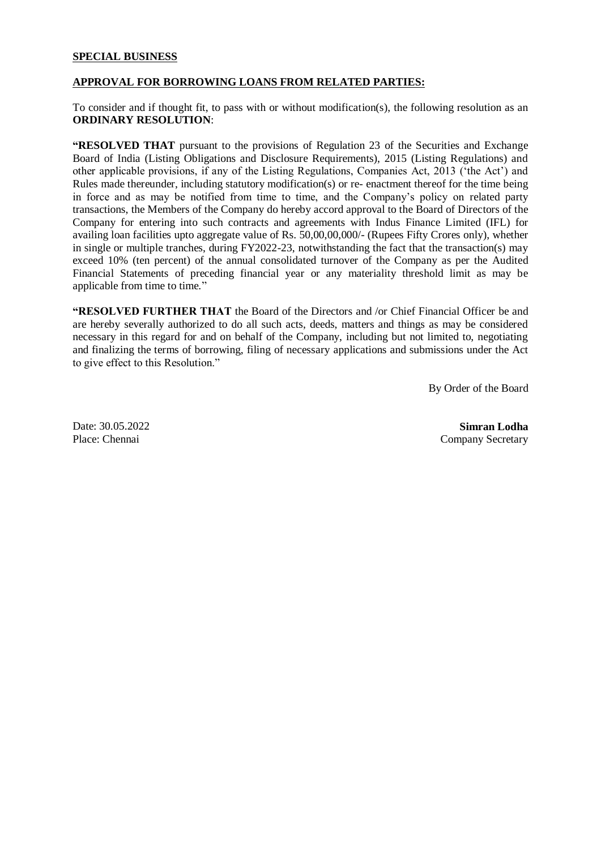### **SPECIAL BUSINESS**

### **APPROVAL FOR BORROWING LOANS FROM RELATED PARTIES:**

To consider and if thought fit, to pass with or without modification(s), the following resolution as an **ORDINARY RESOLUTION**:

**"RESOLVED THAT** pursuant to the provisions of Regulation 23 of the Securities and Exchange Board of India (Listing Obligations and Disclosure Requirements), 2015 (Listing Regulations) and other applicable provisions, if any of the Listing Regulations, Companies Act, 2013 ('the Act') and Rules made thereunder, including statutory modification(s) or re- enactment thereof for the time being in force and as may be notified from time to time, and the Company's policy on related party transactions, the Members of the Company do hereby accord approval to the Board of Directors of the Company for entering into such contracts and agreements with Indus Finance Limited (IFL) for availing loan facilities upto aggregate value of Rs. 50,00,00,000/- (Rupees Fifty Crores only), whether in single or multiple tranches, during FY2022-23, notwithstanding the fact that the transaction(s) may exceed 10% (ten percent) of the annual consolidated turnover of the Company as per the Audited Financial Statements of preceding financial year or any materiality threshold limit as may be applicable from time to time."

**"RESOLVED FURTHER THAT** the Board of the Directors and /or Chief Financial Officer be and are hereby severally authorized to do all such acts, deeds, matters and things as may be considered necessary in this regard for and on behalf of the Company, including but not limited to, negotiating and finalizing the terms of borrowing, filing of necessary applications and submissions under the Act to give effect to this Resolution."

By Order of the Board

Date: 30.05.2022 Place: Chennai

**Simran Lodha** Company Secretary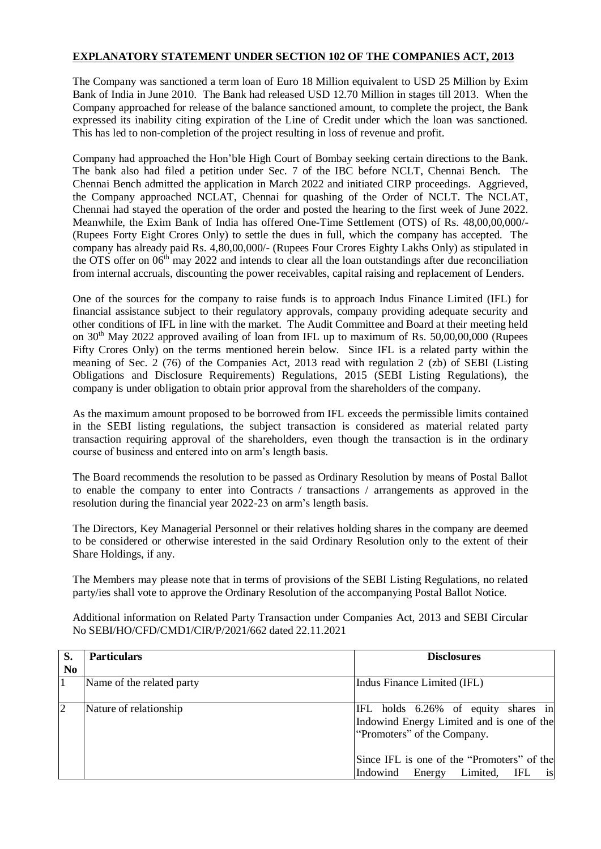# **EXPLANATORY STATEMENT UNDER SECTION 102 OF THE COMPANIES ACT, 2013**

The Company was sanctioned a term loan of Euro 18 Million equivalent to USD 25 Million by Exim Bank of India in June 2010. The Bank had released USD 12.70 Million in stages till 2013. When the Company approached for release of the balance sanctioned amount, to complete the project, the Bank expressed its inability citing expiration of the Line of Credit under which the loan was sanctioned. This has led to non-completion of the project resulting in loss of revenue and profit.

Company had approached the Hon'ble High Court of Bombay seeking certain directions to the Bank. The bank also had filed a petition under Sec. 7 of the IBC before NCLT, Chennai Bench. The Chennai Bench admitted the application in March 2022 and initiated CIRP proceedings. Aggrieved, the Company approached NCLAT, Chennai for quashing of the Order of NCLT. The NCLAT, Chennai had stayed the operation of the order and posted the hearing to the first week of June 2022. Meanwhile, the Exim Bank of India has offered One-Time Settlement (OTS) of Rs. 48,00,00,000/- (Rupees Forty Eight Crores Only) to settle the dues in full, which the company has accepted. The company has already paid Rs. 4,80,00,000/- (Rupees Four Crores Eighty Lakhs Only) as stipulated in the OTS offer on 06<sup>th</sup> may 2022 and intends to clear all the loan outstandings after due reconciliation from internal accruals, discounting the power receivables, capital raising and replacement of Lenders.

One of the sources for the company to raise funds is to approach Indus Finance Limited (IFL) for financial assistance subject to their regulatory approvals, company providing adequate security and other conditions of IFL in line with the market. The Audit Committee and Board at their meeting held on 30<sup>th</sup> May 2022 approved availing of loan from IFL up to maximum of Rs. 50,00,00,000 (Rupees Fifty Crores Only) on the terms mentioned herein below. Since IFL is a related party within the meaning of Sec. 2 (76) of the Companies Act, 2013 read with regulation 2 (zb) of SEBI (Listing Obligations and Disclosure Requirements) Regulations, 2015 (SEBI Listing Regulations), the company is under obligation to obtain prior approval from the shareholders of the company.

As the maximum amount proposed to be borrowed from IFL exceeds the permissible limits contained in the SEBI listing regulations, the subject transaction is considered as material related party transaction requiring approval of the shareholders, even though the transaction is in the ordinary course of business and entered into on arm's length basis.

The Board recommends the resolution to be passed as Ordinary Resolution by means of Postal Ballot to enable the company to enter into Contracts / transactions / arrangements as approved in the resolution during the financial year 2022-23 on arm's length basis.

The Directors, Key Managerial Personnel or their relatives holding shares in the company are deemed to be considered or otherwise interested in the said Ordinary Resolution only to the extent of their Share Holdings, if any.

The Members may please note that in terms of provisions of the SEBI Listing Regulations, no related party/ies shall vote to approve the Ordinary Resolution of the accompanying Postal Ballot Notice.

Additional information on Related Party Transaction under Companies Act, 2013 and SEBI Circular No SEBI/HO/CFD/CMD1/CIR/P/2021/662 dated 22.11.2021

| S.             | <b>Particulars</b>        | <b>Disclosures</b>                                                                                                                                                                                                       |
|----------------|---------------------------|--------------------------------------------------------------------------------------------------------------------------------------------------------------------------------------------------------------------------|
| N <sub>0</sub> |                           |                                                                                                                                                                                                                          |
|                | Name of the related party | Indus Finance Limited (IFL)                                                                                                                                                                                              |
|                | Nature of relationship    | IFL holds 6.26% of equity shares in<br>Indowind Energy Limited and is one of the<br>"Promoters" of the Company.<br>Since IFL is one of the "Promoters" of the<br>Limited,<br>IFL<br>Indowind<br>Energy<br><sup>1</sup> S |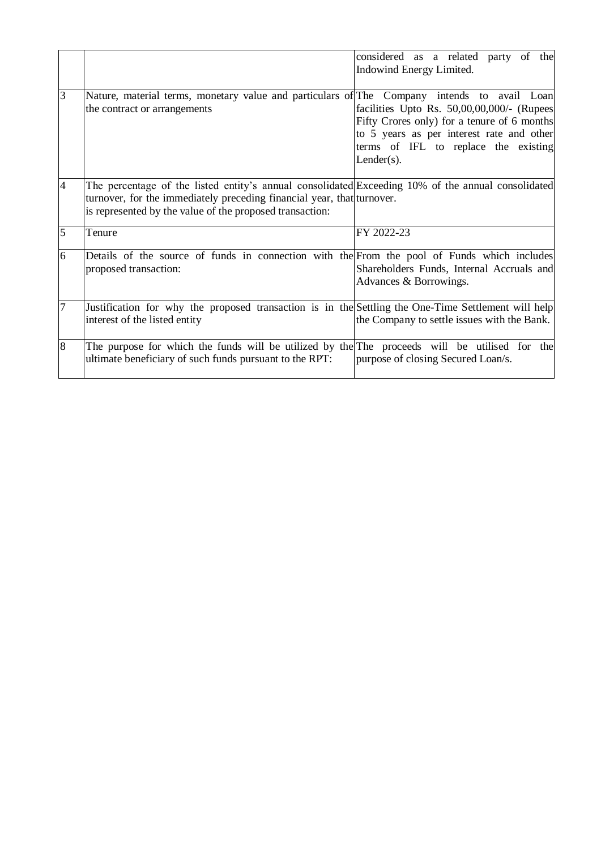|                |                                                                                                                                                                                                                                          | considered as a related party of the<br>Indowind Energy Limited.                                                                                                                                |
|----------------|------------------------------------------------------------------------------------------------------------------------------------------------------------------------------------------------------------------------------------------|-------------------------------------------------------------------------------------------------------------------------------------------------------------------------------------------------|
| $\overline{3}$ | Nature, material terms, monetary value and particulars of The Company intends to avail Loan<br>the contract or arrangements                                                                                                              | facilities Upto Rs. 50,00,00,000/- (Rupees<br>Fifty Crores only) for a tenure of 6 months<br>to 5 years as per interest rate and other<br>terms of IFL to replace the existing<br>$Lender(s)$ . |
| $\overline{4}$ | The percentage of the listed entity's annual consolidated Exceeding 10% of the annual consolidated<br>turnover, for the immediately preceding financial year, that turnover.<br>is represented by the value of the proposed transaction: |                                                                                                                                                                                                 |
| 5              | Tenure                                                                                                                                                                                                                                   | FY 2022-23                                                                                                                                                                                      |
| 6              | Details of the source of funds in connection with the From the pool of Funds which includes<br>proposed transaction:                                                                                                                     | Shareholders Funds, Internal Accruals and<br>Advances & Borrowings.                                                                                                                             |
| 17             | Justification for why the proposed transaction is in the Settling the One-Time Settlement will help<br>interest of the listed entity                                                                                                     | the Company to settle issues with the Bank.                                                                                                                                                     |
| 8              | The purpose for which the funds will be utilized by the The proceeds will be utilised for the<br>ultimate beneficiary of such funds pursuant to the RPT:                                                                                 | purpose of closing Secured Loan/s.                                                                                                                                                              |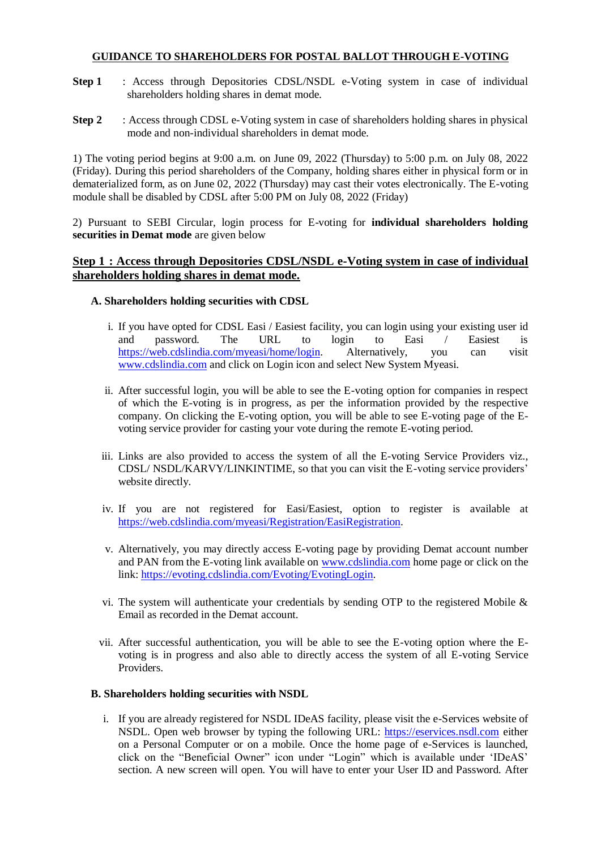# **GUIDANCE TO SHAREHOLDERS FOR POSTAL BALLOT THROUGH E-VOTING**

- **Step 1** : Access through Depositories CDSL/NSDL e-Voting system in case of individual shareholders holding shares in demat mode.
- **Step 2** : Access through CDSL e-Voting system in case of shareholders holding shares in physical mode and non-individual shareholders in demat mode.

1) The voting period begins at 9:00 a.m. on June 09, 2022 (Thursday) to 5:00 p.m. on July 08, 2022 (Friday). During this period shareholders of the Company, holding shares either in physical form or in dematerialized form, as on June 02, 2022 (Thursday) may cast their votes electronically. The E-voting module shall be disabled by CDSL after 5:00 PM on July 08, 2022 (Friday)

2) Pursuant to SEBI Circular, login process for E-voting for **individual shareholders holding securities in Demat mode** are given below

## **Step 1 : Access through Depositories CDSL/NSDL e-Voting system in case of individual shareholders holding shares in demat mode.**

# **A. Shareholders holding securities with CDSL**

- i. If you have opted for CDSL Easi / Easiest facility, you can login using your existing user id and password. The URL to login to Easi / Easiest is [https://web.cdslindia.com/myeasi/home/login.](https://web.cdslindia.com/myeasi/home/login) Alternatively, you can visit [www.cdslindia.com](http://www.cdslindia.com/) and click on Login icon and select New System Myeasi.
- ii. After successful login, you will be able to see the E-voting option for companies in respect of which the E-voting is in progress, as per the information provided by the respective company. On clicking the E-voting option, you will be able to see E-voting page of the Evoting service provider for casting your vote during the remote E-voting period.
- iii. Links are also provided to access the system of all the E-voting Service Providers viz., CDSL/ NSDL/KARVY/LINKINTIME, so that you can visit the E-voting service providers' website directly.
- iv. If you are not registered for Easi/Easiest, option to register is available at [https://web.cdslindia.com/myeasi/Registration/EasiRegistration.](https://web.cdslindia.com/myeasi/Registration/EasiRegistration)
- v. Alternatively, you may directly access E-voting page by providing Demat account number and PAN from the E-voting link available on [www.cdslindia.com](http://www.cdslindia.com/) home page or click on the link: [https://evoting.cdslindia.com/Evoting/EvotingLogin.](https://evoting.cdslindia.com/Evoting/EvotingLogin)
- vi. The system will authenticate your credentials by sending OTP to the registered Mobile  $\&$ Email as recorded in the Demat account.
- vii. After successful authentication, you will be able to see the E-voting option where the Evoting is in progress and also able to directly access the system of all E-voting Service Providers.

### **B. Shareholders holding securities with NSDL**

i. If you are already registered for NSDL IDeAS facility, please visit the e-Services website of NSDL. Open web browser by typing the following URL: [https://eservices.nsdl.com](https://eservices.nsdl.com/) either on a Personal Computer or on a mobile. Once the home page of e-Services is launched, click on the "Beneficial Owner" icon under "Login" which is available under 'IDeAS' section. A new screen will open. You will have to enter your User ID and Password. After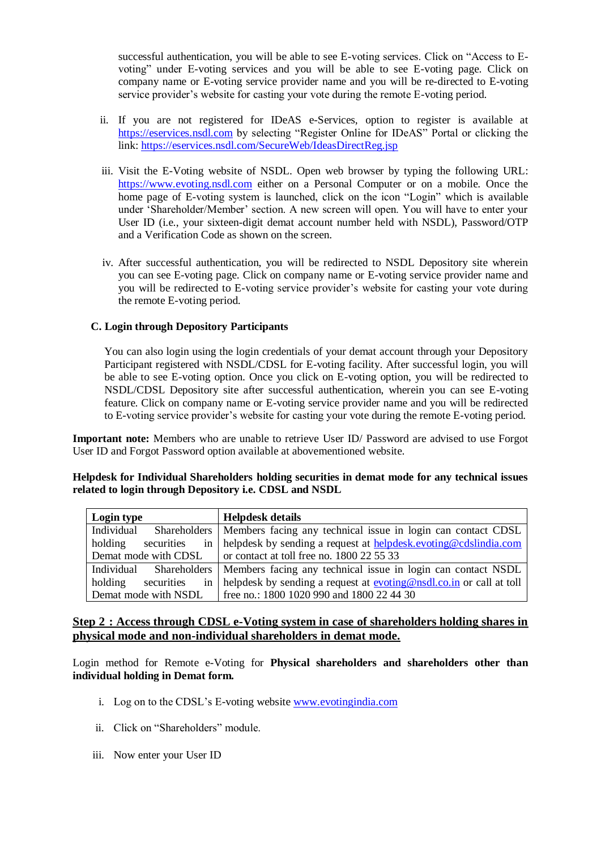successful authentication, you will be able to see E-voting services. Click on "Access to Evoting" under E-voting services and you will be able to see E-voting page. Click on company name or E-voting service provider name and you will be re-directed to E-voting service provider's website for casting your vote during the remote E-voting period.

- ii. If you are not registered for IDeAS e-Services, option to register is available at [https://eservices.nsdl.com](https://eservices.nsdl.com/) by selecting "Register Online for IDeAS" Portal or clicking the link:<https://eservices.nsdl.com/SecureWeb/IdeasDirectReg.jsp>
- iii. Visit the E-Voting website of NSDL. Open web browser by typing the following [URL:](https://www.evoting.nsdl.com/)  [https://www.evoting.nsdl.com](https://www.evoting.nsdl.com/) either on a Personal Computer or on a mobile. Once the home page of E-voting system is launched, click on the icon "Login" which is available under 'Shareholder/Member' section. A new screen will open. You will have to enter your User ID (i.e., your sixteen-digit demat account number held with NSDL), Password/OTP and a Verification Code as shown on the screen.
- iv. After successful authentication, you will be redirected to NSDL Depository site wherein you can see E-voting page. Click on company name or E-voting service provider name and you will be redirected to E-voting service provider's website for casting your vote during the remote E-voting period.

### **C. Login through Depository Participants**

You can also login using the login credentials of your demat account through your Depository Participant registered with NSDL/CDSL for E-voting facility. After successful login, you will be able to see E-voting option. Once you click on E-voting option, you will be redirected to NSDL/CDSL Depository site after successful authentication, wherein you can see E-voting feature. Click on company name or E-voting service provider name and you will be redirected to E-voting service provider's website for casting your vote during the remote E-voting period.

**Important note:** Members who are unable to retrieve User ID/ Password are advised to use Forgot User ID and Forgot Password option available at abovementioned website.

| Helpdesk for Individual Shareholders holding securities in demat mode for any technical issues |  |
|------------------------------------------------------------------------------------------------|--|
| related to login through Depository i.e. CDSL and NSDL                                         |  |

| Login type                  | <b>Helpdesk details</b>                                                     |  |
|-----------------------------|-----------------------------------------------------------------------------|--|
| Individual                  | Shareholders   Members facing any technical issue in login can contact CDSL |  |
| in<br>securities<br>holding | helpdesk by sending a request at helpdesk evoting@cdslindia.com             |  |
| Demat mode with CDSL        | or contact at toll free no. 1800 22 55 33                                   |  |
| Individual                  | Shareholders   Members facing any technical issue in login can contact NSDL |  |
| in<br>holding<br>securities | helpdesk by sending a request at evoting@nsdl.co.in or call at toll         |  |
| Demat mode with NSDL        | free no.: 1800 1020 990 and 1800 22 44 30                                   |  |

# **Step 2 : Access through CDSL e-Voting system in case of shareholders holding shares in physical mode and non-individual shareholders in demat mode.**

Login method for Remote e-Voting for **Physical shareholders and shareholders other than individual holding in Demat form.**

- i. Log on to the CDSL's E-voting websit[e www.evotingindia.com](http://www.evotingindia.com/)
- ii. Click on "Shareholders" module.
- iii. Now enter your User ID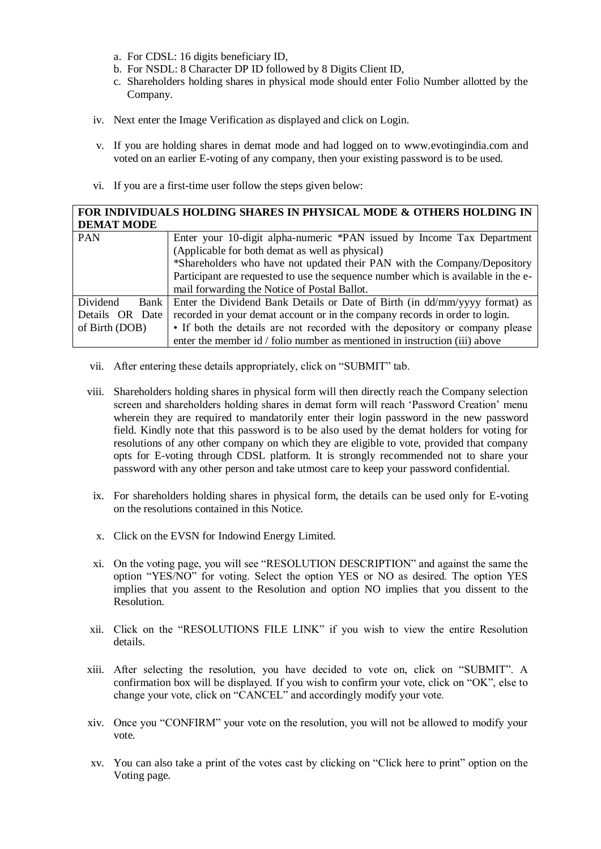- a. For CDSL: 16 digits beneficiary ID,
- b. For NSDL: 8 Character DP ID followed by 8 Digits Client ID,
- c. Shareholders holding shares in physical mode should enter Folio Number allotted by the Company.
- iv. Next enter the Image Verification as displayed and click on Login.
- v. If you are holding shares in demat mode and had logged on to www.evotingindia.com and voted on an earlier E-voting of any company, then your existing password is to be used.
- vi. If you are a first-time user follow the steps given below:

| FOR INDIVIDUALS HOLDING SHARES IN PHYSICAL MODE & OTHERS HOLDING IN |                                                                                   |  |  |  |  |
|---------------------------------------------------------------------|-----------------------------------------------------------------------------------|--|--|--|--|
| <b>DEMAT MODE</b>                                                   |                                                                                   |  |  |  |  |
| <b>PAN</b>                                                          | Enter your 10-digit alpha-numeric *PAN issued by Income Tax Department            |  |  |  |  |
|                                                                     | (Applicable for both demat as well as physical)                                   |  |  |  |  |
|                                                                     | *Shareholders who have not updated their PAN with the Company/Depository          |  |  |  |  |
|                                                                     | Participant are requested to use the sequence number which is available in the e- |  |  |  |  |
|                                                                     | mail forwarding the Notice of Postal Ballot.                                      |  |  |  |  |
| Dividend<br>Bank                                                    | Enter the Dividend Bank Details or Date of Birth (in dd/mm/yyyy format) as        |  |  |  |  |
| Details OR Date                                                     | recorded in your demat account or in the company records in order to login.       |  |  |  |  |
| of Birth (DOB)                                                      | • If both the details are not recorded with the depository or company please      |  |  |  |  |
|                                                                     | enter the member id / folio number as mentioned in instruction (iii) above        |  |  |  |  |

- vii. After entering these details appropriately, click on "SUBMIT" tab.
- viii. Shareholders holding shares in physical form will then directly reach the Company selection screen and shareholders holding shares in demat form will reach 'Password Creation' menu wherein they are required to mandatorily enter their login password in the new password field. Kindly note that this password is to be also used by the demat holders for voting for resolutions of any other company on which they are eligible to vote, provided that company opts for E-voting through CDSL platform. It is strongly recommended not to share your password with any other person and take utmost care to keep your password confidential.
- ix. For shareholders holding shares in physical form, the details can be used only for E-voting on the resolutions contained in this Notice.
- x. Click on the EVSN for Indowind Energy Limited.
- xi. On the voting page, you will see "RESOLUTION DESCRIPTION" and against the same the option "YES/NO" for voting. Select the option YES or NO as desired. The option YES implies that you assent to the Resolution and option NO implies that you dissent to the Resolution.
- xii. Click on the "RESOLUTIONS FILE LINK" if you wish to view the entire Resolution details.
- xiii. After selecting the resolution, you have decided to vote on, click on "SUBMIT". A confirmation box will be displayed. If you wish to confirm your vote, click on "OK", else to change your vote, click on "CANCEL" and accordingly modify your vote.
- xiv. Once you "CONFIRM" your vote on the resolution, you will not be allowed to modify your vote.
- xv. You can also take a print of the votes cast by clicking on "Click here to print" option on the Voting page.